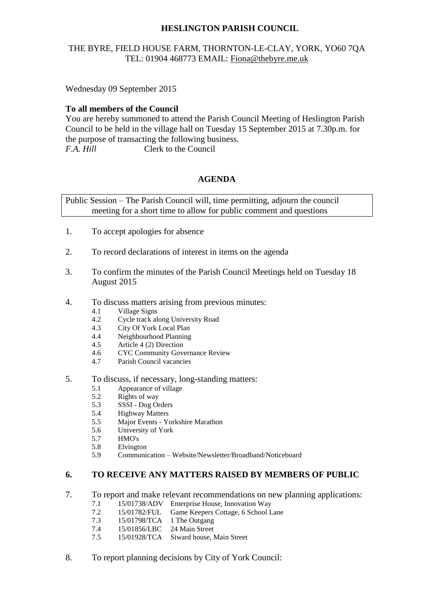# **HESLINGTON PARISH COUNCIL**

# THE BYRE, FIELD HOUSE FARM, THORNTON-LE-CLAY, YORK, YO60 7QA TEL: 01904 468773 EMAIL: [Fiona@thebyre.me.uk](mailto:Fiona@thebyre.me.uk)

Wednesday 09 September 2015

### **To all members of the Council**

You are hereby summoned to attend the Parish Council Meeting of Heslington Parish Council to be held in the village hall on Tuesday 15 September 2015 at 7.30p.m. for the purpose of transacting the following business. *F.A. Hill* Clerk to the Council

### **AGENDA**

Public Session – The Parish Council will, time permitting, adjourn the council meeting for a short time to allow for public comment and questions

- 1. To accept apologies for absence
- 2. To record declarations of interest in items on the agenda
- 3. To confirm the minutes of the Parish Council Meetings held on Tuesday 18 August 2015
- 4. To discuss matters arising from previous minutes:
	- 4.1 Village Signs
	- 4.2 Cycle track along University Road
	- 4.3 City Of York Local Plan
	- 4.4 Neighbourhood Planning
	- 4.5 Article 4 (2) Direction
	- 4.6 CYC Community Governance Review
	- 4.7 Parish Council vacancies
- 5. To discuss, if necessary, long-standing matters:
	- 5.1 Appearance of village
	- 5.2 Rights of way
	- 5.3 SSSI Dog Orders
	- 5.4 Highway Matters
	- 5.5 Major Events Yorkshire Marathon
	- 5.6 University of York
	- 5.7 HMO's
	- 5.8 Elvington
	- 5.9 Communication Website/Newsletter/Broadband/Noticeboard

#### **6. TO RECEIVE ANY MATTERS RAISED BY MEMBERS OF PUBLIC**

- 7. To report and make relevant recommendations on new planning applications:
	- 7.1 15/01738/ADV Enterprise House, Innovation Way
	- 7.2 15/01782/FUL Game Keepers Cottage, 6 School Lane
	- 7.3 15/01798/TCA 1 The Outgang
	- 7.4 15/01856/LBC 24 Main Street
	- 7.5 15/01928/TCA Siward house, Main Street
- 8. To report planning decisions by City of York Council: